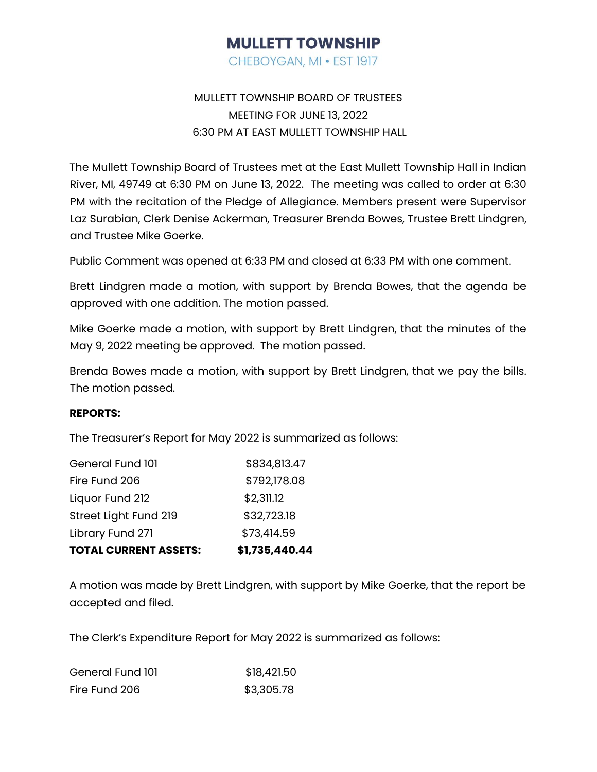# **MULLETT TOWNSHIP**

CHEBOYGAN, MI . EST 1917

### MULLETT TOWNSHIP BOARD OF TRUSTEES MEETING FOR JUNE 13, 2022 6:30 PM AT EAST MULLETT TOWNSHIP HALL

The Mullett Township Board of Trustees met at the East Mullett Township Hall in Indian River, MI, 49749 at 6:30 PM on June 13, 2022. The meeting was called to order at 6:30 PM with the recitation of the Pledge of Allegiance. Members present were Supervisor Laz Surabian, Clerk Denise Ackerman, Treasurer Brenda Bowes, Trustee Brett Lindgren, and Trustee Mike Goerke.

Public Comment was opened at 6:33 PM and closed at 6:33 PM with one comment.

Brett Lindgren made a motion, with support by Brenda Bowes, that the agenda be approved with one addition. The motion passed.

Mike Goerke made a motion, with support by Brett Lindgren, that the minutes of the May 9, 2022 meeting be approved. The motion passed.

Brenda Bowes made a motion, with support by Brett Lindgren, that we pay the bills. The motion passed.

#### **REPORTS:**

The Treasurer's Report for May 2022 is summarized as follows:

| <b>TOTAL CURRENT ASSETS:</b> | \$1,735,440.44 |
|------------------------------|----------------|
| Library Fund 271             | \$73,414.59    |
| Street Light Fund 219        | \$32,723.18    |
| Liquor Fund 212              | \$2,311.12     |
| Fire Fund 206                | \$792,178.08   |
| General Fund 101             | \$834,813.47   |

A motion was made by Brett Lindgren, with support by Mike Goerke, that the report be accepted and filed.

The Clerk's Expenditure Report for May 2022 is summarized as follows:

| General Fund 101 | \$18,421.50 |
|------------------|-------------|
| Fire Fund 206    | \$3,305.78  |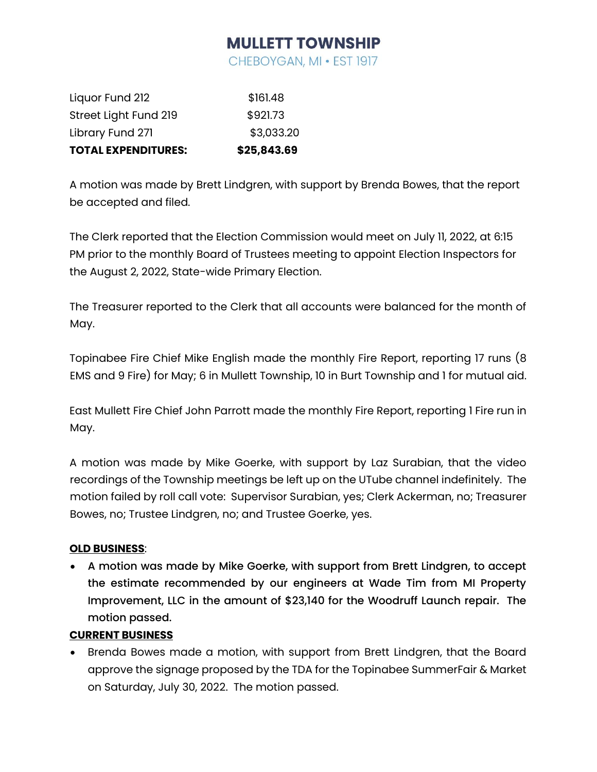## **MULLETT TOWNSHIP**

CHEBOYGAN, MI . EST 1917

| <b>TOTAL EXPENDITURES:</b> | \$25,843.69 |
|----------------------------|-------------|
| Library Fund 271           | \$3,033.20  |
| Street Light Fund 219      | \$921.73    |
| Liquor Fund 212            | \$161.48    |

A motion was made by Brett Lindgren, with support by Brenda Bowes, that the report be accepted and filed.

The Clerk reported that the Election Commission would meet on July 11, 2022, at 6:15 PM prior to the monthly Board of Trustees meeting to appoint Election Inspectors for the August 2, 2022, State-wide Primary Election.

The Treasurer reported to the Clerk that all accounts were balanced for the month of May.

Topinabee Fire Chief Mike English made the monthly Fire Report, reporting 17 runs (8 EMS and 9 Fire) for May; 6 in Mullett Township, 10 in Burt Township and 1 for mutual aid.

East Mullett Fire Chief John Parrott made the monthly Fire Report, reporting 1 Fire run in May.

A motion was made by Mike Goerke, with support by Laz Surabian, that the video recordings of the Township meetings be left up on the UTube channel indefinitely. The motion failed by roll call vote: Supervisor Surabian, yes; Clerk Ackerman, no; Treasurer Bowes, no; Trustee Lindgren, no; and Trustee Goerke, yes.

### **OLD BUSINESS**:

• A motion was made by Mike Goerke, with support from Brett Lindgren, to accept the estimate recommended by our engineers at Wade Tim from MI Property Improvement, LLC in the amount of \$23,140 for the Woodruff Launch repair. The motion passed.

### **CURRENT BUSINESS**

• Brenda Bowes made a motion, with support from Brett Lindgren, that the Board approve the signage proposed by the TDA for the Topinabee SummerFair & Market on Saturday, July 30, 2022. The motion passed.